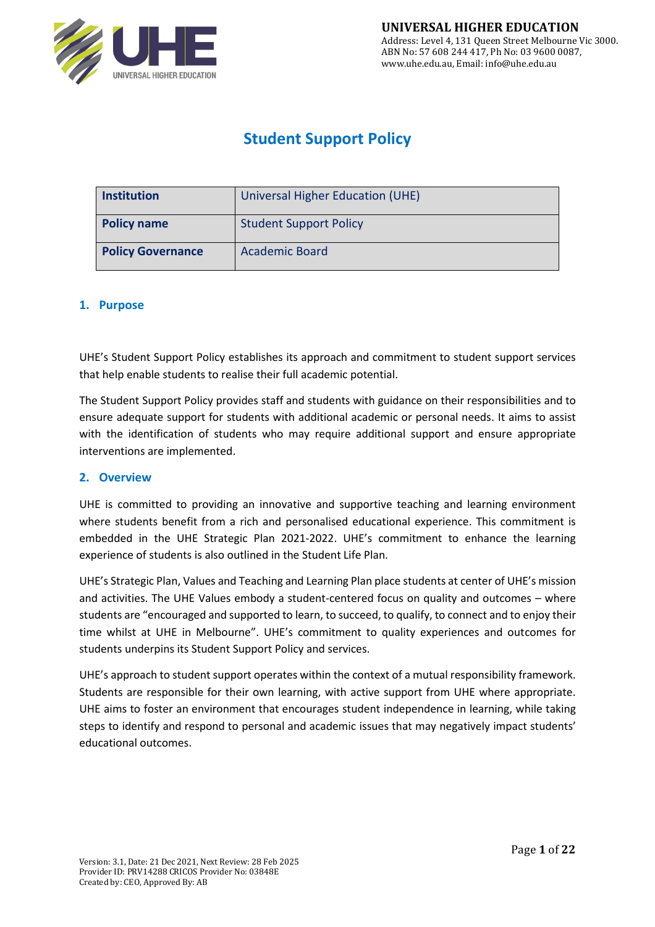

# **Student Support Policy**

| <b>Institution</b>       | Universal Higher Education (UHE) |
|--------------------------|----------------------------------|
| <b>Policy name</b>       | <b>Student Support Policy</b>    |
| <b>Policy Governance</b> | <b>Academic Board</b>            |

### **1. Purpose**

UHE's Student Support Policy establishes its approach and commitment to student support services that help enable students to realise their full academic potential.

The Student Support Policy provides staff and students with guidance on their responsibilities and to ensure adequate support for students with additional academic or personal needs. It aims to assist with the identification of students who may require additional support and ensure appropriate interventions are implemented.

#### **2. Overview**

UHE is committed to providing an innovative and supportive teaching and learning environment where students benefit from a rich and personalised educational experience. This commitment is embedded in the UHE Strategic Plan 2021-2022. UHE's commitment to enhance the learning experience of students is also outlined in the Student Life Plan.

UHE's Strategic Plan, Values and Teaching and Learning Plan place students at center of UHE's mission and activities. The UHE Values embody a student-centered focus on quality and outcomes – where students are "encouraged and supported to learn, to succeed, to qualify, to connect and to enjoy their time whilst at UHE in Melbourne". UHE's commitment to quality experiences and outcomes for students underpins its Student Support Policy and services.

UHE's approach to student support operates within the context of a mutual responsibility framework. Students are responsible for their own learning, with active support from UHE where appropriate. UHE aims to foster an environment that encourages student independence in learning, while taking steps to identify and respond to personal and academic issues that may negatively impact students' educational outcomes.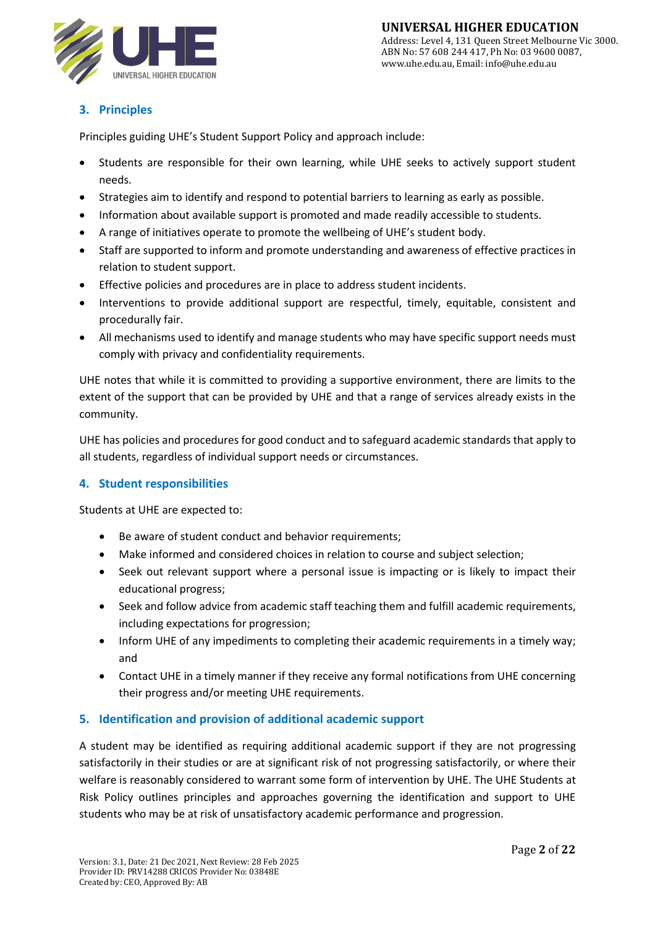

# **3. Principles**

Principles guiding UHE's Student Support Policy and approach include:

- Students are responsible for their own learning, while UHE seeks to actively support student needs.
- Strategies aim to identify and respond to potential barriers to learning as early as possible.
- Information about available support is promoted and made readily accessible to students.
- A range of initiatives operate to promote the wellbeing of UHE's student body.
- Staff are supported to inform and promote understanding and awareness of effective practices in relation to student support.
- Effective policies and procedures are in place to address student incidents.
- Interventions to provide additional support are respectful, timely, equitable, consistent and procedurally fair.
- All mechanisms used to identify and manage students who may have specific support needs must comply with privacy and confidentiality requirements.

UHE notes that while it is committed to providing a supportive environment, there are limits to the extent of the support that can be provided by UHE and that a range of services already exists in the community.

UHE has policies and procedures for good conduct and to safeguard academic standards that apply to all students, regardless of individual support needs or circumstances.

# **4. Student responsibilities**

Students at UHE are expected to:

- Be aware of student conduct and behavior requirements;
- Make informed and considered choices in relation to course and subject selection;
- Seek out relevant support where a personal issue is impacting or is likely to impact their educational progress;
- Seek and follow advice from academic staff teaching them and fulfill academic requirements, including expectations for progression;
- Inform UHE of any impediments to completing their academic requirements in a timely way; and
- Contact UHE in a timely manner if they receive any formal notifications from UHE concerning their progress and/or meeting UHE requirements.

# **5. Identification and provision of additional academic support**

A student may be identified as requiring additional academic support if they are not progressing satisfactorily in their studies or are at significant risk of not progressing satisfactorily, or where their welfare is reasonably considered to warrant some form of intervention by UHE. The UHE Students at Risk Policy outlines principles and approaches governing the identification and support to UHE students who may be at risk of unsatisfactory academic performance and progression.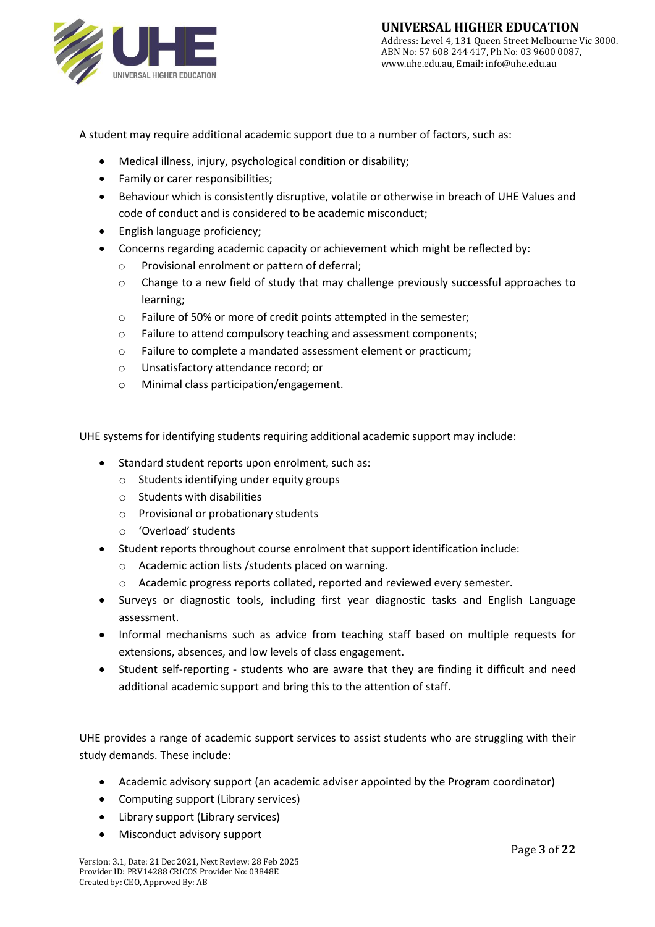

A student may require additional academic support due to a number of factors, such as:

- Medical illness, injury, psychological condition or disability;
- Family or carer responsibilities;
- Behaviour which is consistently disruptive, volatile or otherwise in breach of UHE Values and code of conduct and is considered to be academic misconduct;
- English language proficiency;
- Concerns regarding academic capacity or achievement which might be reflected by:
	- o Provisional enrolment or pattern of deferral;
	- o Change to a new field of study that may challenge previously successful approaches to learning;
	- o Failure of 50% or more of credit points attempted in the semester;
	- o Failure to attend compulsory teaching and assessment components;
	- o Failure to complete a mandated assessment element or practicum;
	- o Unsatisfactory attendance record; or
	- o Minimal class participation/engagement.

UHE systems for identifying students requiring additional academic support may include:

- Standard student reports upon enrolment, such as:
	- o Students identifying under equity groups
	- o Students with disabilities
	- o Provisional or probationary students
	- o 'Overload' students
- Student reports throughout course enrolment that support identification include:
	- o Academic action lists /students placed on warning.
	- o Academic progress reports collated, reported and reviewed every semester.
- Surveys or diagnostic tools, including first year diagnostic tasks and English Language assessment.
- Informal mechanisms such as advice from teaching staff based on multiple requests for extensions, absences, and low levels of class engagement.
- Student self-reporting students who are aware that they are finding it difficult and need additional academic support and bring this to the attention of staff.

UHE provides a range of academic support services to assist students who are struggling with their study demands. These include:

- Academic advisory support (an academic adviser appointed by the Program coordinator)
- Computing support (Library services)
- Library support (Library services)
- Misconduct advisory support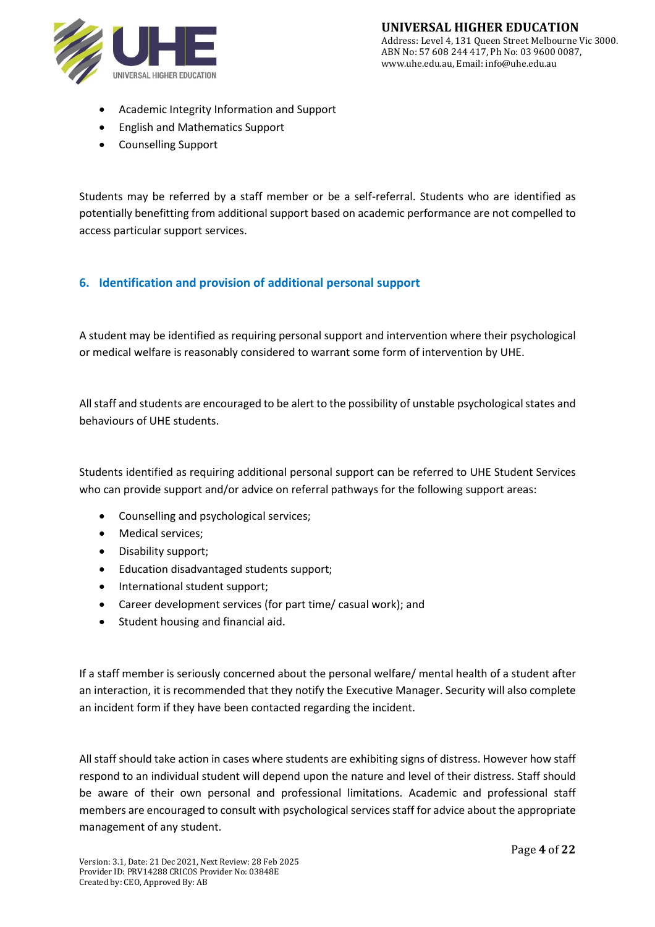

- Academic Integrity Information and Support
- English and Mathematics Support
- Counselling Support

Students may be referred by a staff member or be a self-referral. Students who are identified as potentially benefitting from additional support based on academic performance are not compelled to access particular support services.

# **6. Identification and provision of additional personal support**

A student may be identified as requiring personal support and intervention where their psychological or medical welfare is reasonably considered to warrant some form of intervention by UHE.

All staff and students are encouraged to be alert to the possibility of unstable psychological states and behaviours of UHE students.

Students identified as requiring additional personal support can be referred to UHE Student Services who can provide support and/or advice on referral pathways for the following support areas:

- Counselling and psychological services;
- Medical services;
- Disability support;
- Education disadvantaged students support;
- International student support;
- Career development services (for part time/ casual work); and
- Student housing and financial aid.

If a staff member is seriously concerned about the personal welfare/ mental health of a student after an interaction, it is recommended that they notify the Executive Manager. Security will also complete an incident form if they have been contacted regarding the incident.

All staff should take action in cases where students are exhibiting signs of distress. However how staff respond to an individual student will depend upon the nature and level of their distress. Staff should be aware of their own personal and professional limitations. Academic and professional staff members are encouraged to consult with psychological services staff for advice about the appropriate management of any student.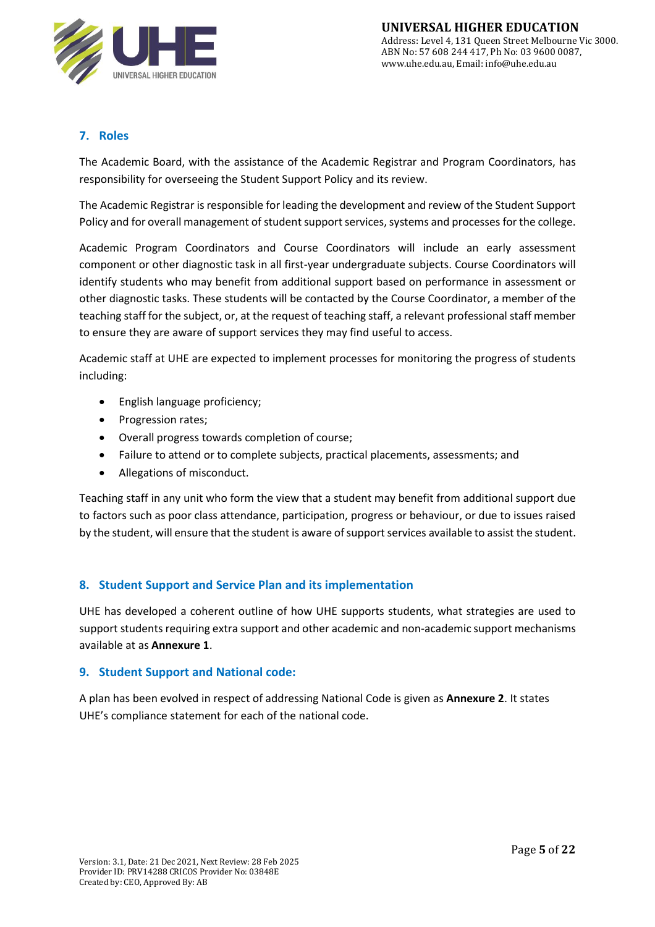

# **7. Roles**

The Academic Board, with the assistance of the Academic Registrar and Program Coordinators, has responsibility for overseeing the Student Support Policy and its review.

The Academic Registrar is responsible for leading the development and review of the Student Support Policy and for overall management of student support services, systems and processes for the college.

Academic Program Coordinators and Course Coordinators will include an early assessment component or other diagnostic task in all first-year undergraduate subjects. Course Coordinators will identify students who may benefit from additional support based on performance in assessment or other diagnostic tasks. These students will be contacted by the Course Coordinator, a member of the teaching staff for the subject, or, at the request of teaching staff, a relevant professional staff member to ensure they are aware of support services they may find useful to access.

Academic staff at UHE are expected to implement processes for monitoring the progress of students including:

- English language proficiency;
- Progression rates;
- Overall progress towards completion of course;
- Failure to attend or to complete subjects, practical placements, assessments; and
- Allegations of misconduct.

Teaching staff in any unit who form the view that a student may benefit from additional support due to factors such as poor class attendance, participation, progress or behaviour, or due to issues raised by the student, will ensure that the student is aware of support services available to assist the student.

### **8. Student Support and Service Plan and its implementation**

UHE has developed a coherent outline of how UHE supports students, what strategies are used to support students requiring extra support and other academic and non-academic support mechanisms available at as **Annexure 1**.

#### **9. Student Support and National code:**

A plan has been evolved in respect of addressing National Code is given as **Annexure 2**. It states UHE's compliance statement for each of the national code.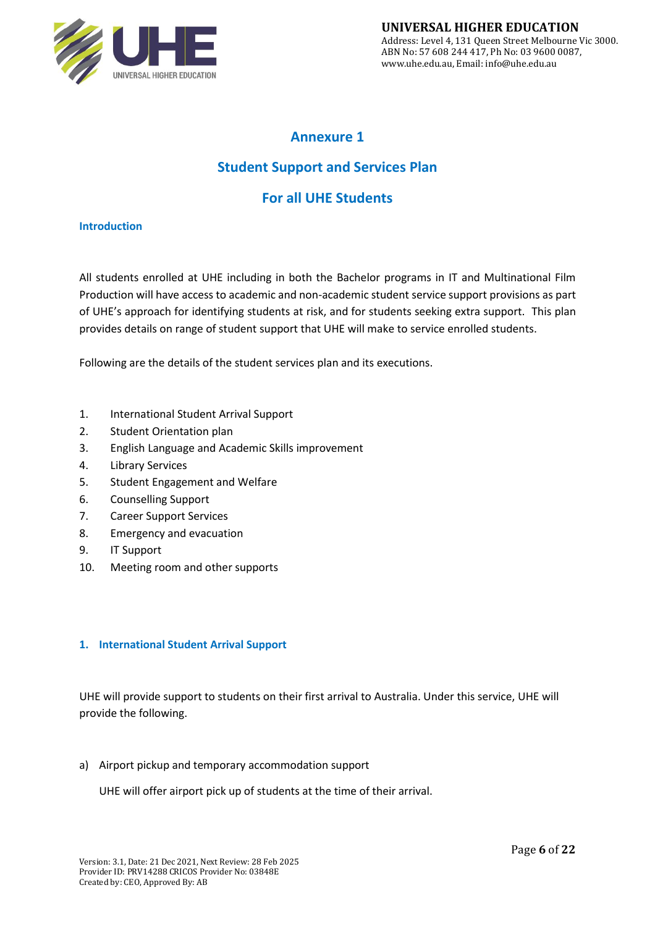

# **Annexure 1**

# **Student Support and Services Plan**

# **For all UHE Students**

#### **Introduction**

All students enrolled at UHE including in both the Bachelor programs in IT and Multinational Film Production will have access to academic and non-academic student service support provisions as part of UHE's approach for identifying students at risk, and for students seeking extra support. This plan provides details on range of student support that UHE will make to service enrolled students.

Following are the details of the student services plan and its executions.

- 1. International Student Arrival Support
- 2. Student Orientation plan
- 3. English Language and Academic Skills improvement
- 4. Library Services
- 5. Student Engagement and Welfare
- 6. Counselling Support
- 7. Career Support Services
- 8. Emergency and evacuation
- 9. IT Support
- 10. Meeting room and other supports

#### **1. International Student Arrival Support**

UHE will provide support to students on their first arrival to Australia. Under this service, UHE will provide the following.

a) Airport pickup and temporary accommodation support

UHE will offer airport pick up of students at the time of their arrival.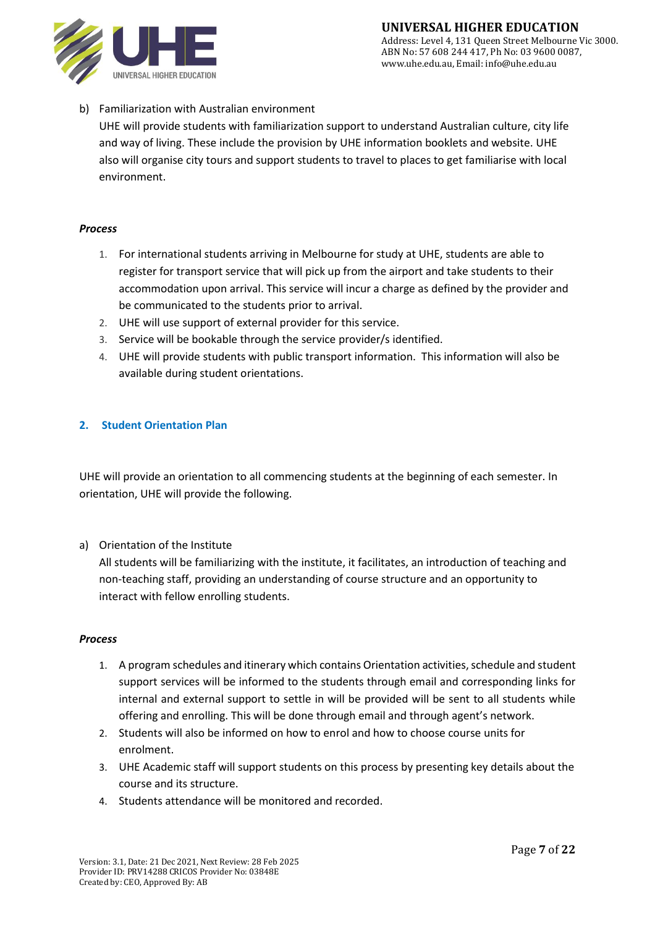

b) Familiarization with Australian environment

UHE will provide students with familiarization support to understand Australian culture, city life and way of living. These include the provision by UHE information booklets and website. UHE also will organise city tours and support students to travel to places to get familiarise with local environment.

#### *Process*

- 1. For international students arriving in Melbourne for study at UHE, students are able to register for transport service that will pick up from the airport and take students to their accommodation upon arrival. This service will incur a charge as defined by the provider and be communicated to the students prior to arrival.
- 2. UHE will use support of external provider for this service.
- 3. Service will be bookable through the service provider/s identified.
- 4. UHE will provide students with public transport information. This information will also be available during student orientations.

#### **2. Student Orientation Plan**

UHE will provide an orientation to all commencing students at the beginning of each semester. In orientation, UHE will provide the following.

#### a) Orientation of the Institute

All students will be familiarizing with the institute, it facilitates, an introduction of teaching and non-teaching staff, providing an understanding of course structure and an opportunity to interact with fellow enrolling students.

#### *Process*

- 1. A program schedules and itinerary which contains Orientation activities, schedule and student support services will be informed to the students through email and corresponding links for internal and external support to settle in will be provided will be sent to all students while offering and enrolling. This will be done through email and through agent's network.
- 2. Students will also be informed on how to enrol and how to choose course units for enrolment.
- 3. UHE Academic staff will support students on this process by presenting key details about the course and its structure.
- 4. Students attendance will be monitored and recorded.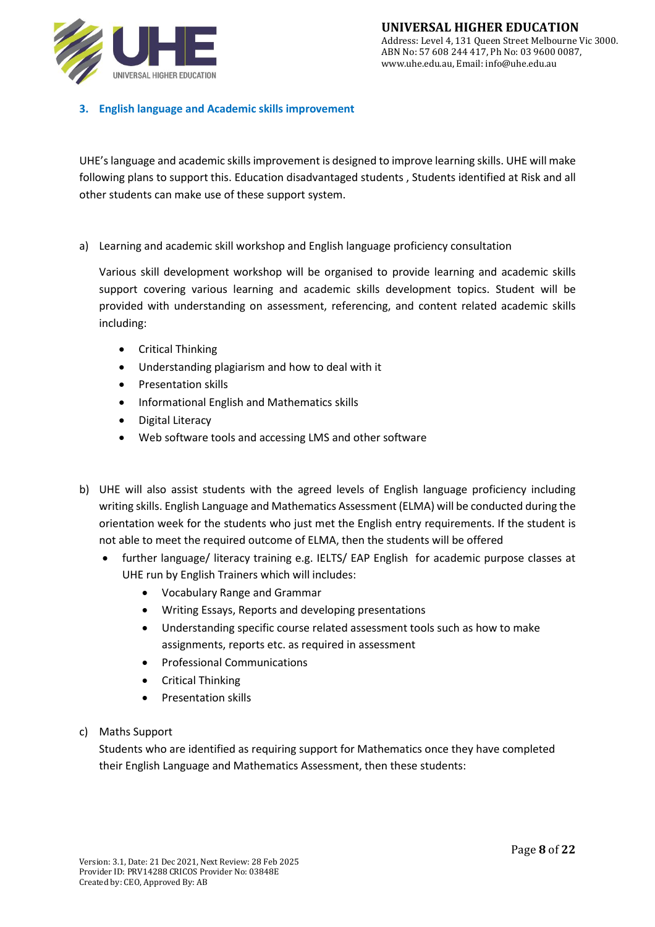

### **3. English language and Academic skills improvement**

UHE's language and academic skills improvement is designed to improve learning skills. UHE will make following plans to support this. Education disadvantaged students , Students identified at Risk and all other students can make use of these support system.

a) Learning and academic skill workshop and English language proficiency consultation

Various skill development workshop will be organised to provide learning and academic skills support covering various learning and academic skills development topics. Student will be provided with understanding on assessment, referencing, and content related academic skills including:

- Critical Thinking
- Understanding plagiarism and how to deal with it
- Presentation skills
- Informational English and Mathematics skills
- Digital Literacy
- Web software tools and accessing LMS and other software
- b) UHE will also assist students with the agreed levels of English language proficiency including writing skills. English Language and Mathematics Assessment (ELMA) will be conducted during the orientation week for the students who just met the English entry requirements. If the student is not able to meet the required outcome of ELMA, then the students will be offered
	- further language/ literacy training e.g. IELTS/ EAP English for academic purpose classes at UHE run by English Trainers which will includes:
		- Vocabulary Range and Grammar
		- Writing Essays, Reports and developing presentations
		- Understanding specific course related assessment tools such as how to make assignments, reports etc. as required in assessment
		- Professional Communications
		- Critical Thinking
		- Presentation skills
- c) Maths Support

Students who are identified as requiring support for Mathematics once they have completed their English Language and Mathematics Assessment, then these students: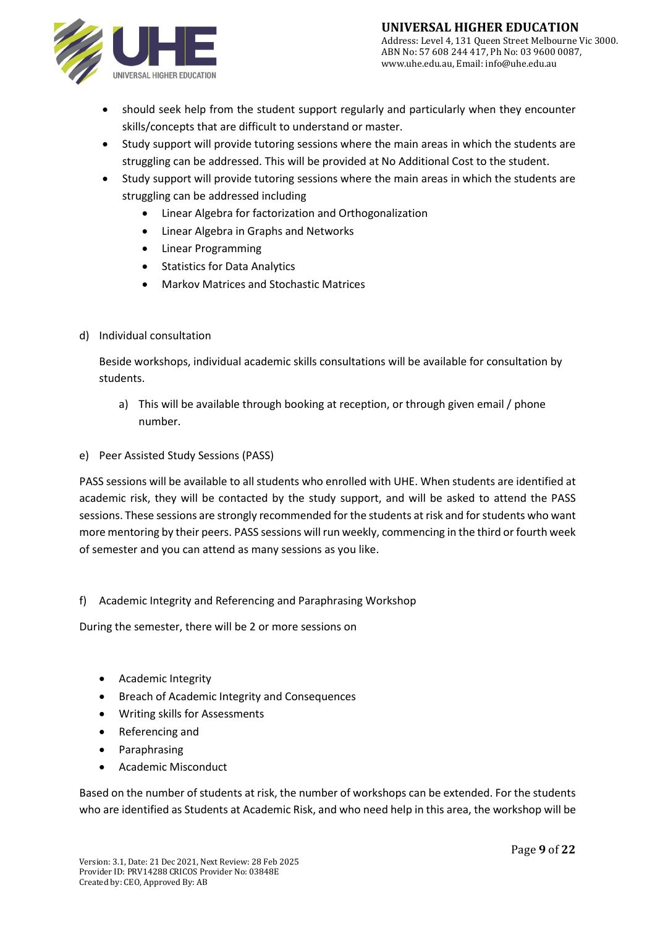

- should seek help from the student support regularly and particularly when they encounter skills/concepts that are difficult to understand or master.
- Study support will provide tutoring sessions where the main areas in which the students are struggling can be addressed. This will be provided at No Additional Cost to the student.
- Study support will provide tutoring sessions where the main areas in which the students are struggling can be addressed including
	- Linear Algebra for factorization and Orthogonalization
	- Linear Algebra in Graphs and Networks
	- Linear Programming
	- Statistics for Data Analytics
	- Markov Matrices and Stochastic Matrices
- d) Individual consultation

Beside workshops, individual academic skills consultations will be available for consultation by students.

- a) This will be available through booking at reception, or through given email / phone number.
- e) Peer Assisted Study Sessions (PASS)

PASS sessions will be available to all students who enrolled with UHE. When students are identified at academic risk, they will be contacted by the study support, and will be asked to attend the PASS sessions. These sessions are strongly recommended for the students at risk and for students who want more mentoring by their peers. PASS sessions will run weekly, commencing in the third or fourth week of semester and you can attend as many sessions as you like.

#### f) Academic Integrity and Referencing and Paraphrasing Workshop

During the semester, there will be 2 or more sessions on

- Academic Integrity
- Breach of Academic Integrity and Consequences
- Writing skills for Assessments
- Referencing and
- Paraphrasing
- Academic Misconduct

Based on the number of students at risk, the number of workshops can be extended. For the students who are identified as Students at Academic Risk, and who need help in this area, the workshop will be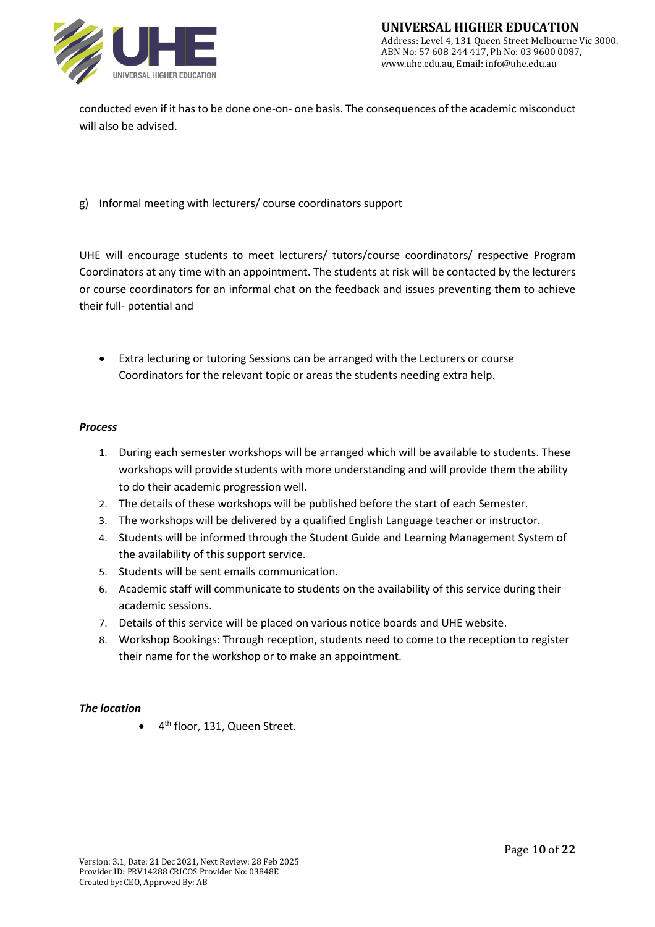

conducted even if it has to be done one-on- one basis. The consequences of the academic misconduct will also be advised.

#### g) Informal meeting with lecturers/ course coordinators support

UHE will encourage students to meet lecturers/ tutors/course coordinators/ respective Program Coordinators at any time with an appointment. The students at risk will be contacted by the lecturers or course coordinators for an informal chat on the feedback and issues preventing them to achieve their full- potential and

• Extra lecturing or tutoring Sessions can be arranged with the Lecturers or course Coordinators for the relevant topic or areas the students needing extra help.

#### *Process*

- 1. During each semester workshops will be arranged which will be available to students. These workshops will provide students with more understanding and will provide them the ability to do their academic progression well.
- 2. The details of these workshops will be published before the start of each Semester.
- 3. The workshops will be delivered by a qualified English Language teacher or instructor.
- 4. Students will be informed through the Student Guide and Learning Management System of the availability of this support service.
- 5. Students will be sent emails communication.
- 6. Academic staff will communicate to students on the availability of this service during their academic sessions.
- 7. Details of this service will be placed on various notice boards and UHE website.
- 8. Workshop Bookings: Through reception, students need to come to the reception to register their name for the workshop or to make an appointment.

#### *The location*

• 4<sup>th</sup> floor, 131, Queen Street.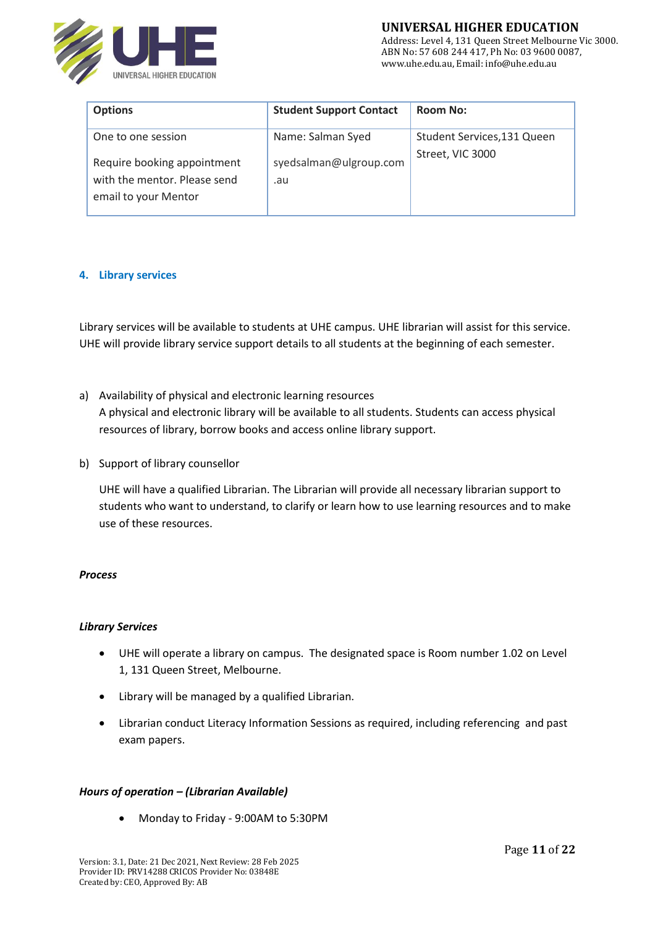

Address: Level 4, 131 Queen Street Melbourne Vic 3000. ABN No: 57 608 244 417, Ph No: 03 9600 0087, www.uhe.edu.au, Email: info@uhe.edu.au

| <b>Options</b>                                                                      | <b>Student Support Contact</b> | <b>Room No:</b>             |
|-------------------------------------------------------------------------------------|--------------------------------|-----------------------------|
| One to one session                                                                  | Name: Salman Syed              | Student Services, 131 Queen |
| Require booking appointment<br>with the mentor. Please send<br>email to your Mentor | syedsalman@ulgroup.com<br>.au  | Street, VIC 3000            |

#### **4. Library services**

Library services will be available to students at UHE campus. UHE librarian will assist for this service. UHE will provide library service support details to all students at the beginning of each semester.

- a) Availability of physical and electronic learning resources A physical and electronic library will be available to all students. Students can access physical resources of library, borrow books and access online library support.
- b) Support of library counsellor

UHE will have a qualified Librarian. The Librarian will provide all necessary librarian support to students who want to understand, to clarify or learn how to use learning resources and to make use of these resources.

#### *Process*

#### *Library Services*

- UHE will operate a library on campus. The designated space is Room number 1.02 on Level 1, 131 Queen Street, Melbourne.
- Library will be managed by a qualified Librarian.
- Librarian conduct Literacy Information Sessions as required, including [referencing](https://www.cqu.edu.au/student-life/services-and-facilities/referencing) and [past](https://handbook.cqu.edu.au/courses/index)  [exam papers.](https://handbook.cqu.edu.au/courses/index)

#### *Hours of operation – (Librarian Available)*

• Monday to Friday - 9:00AM to 5:30PM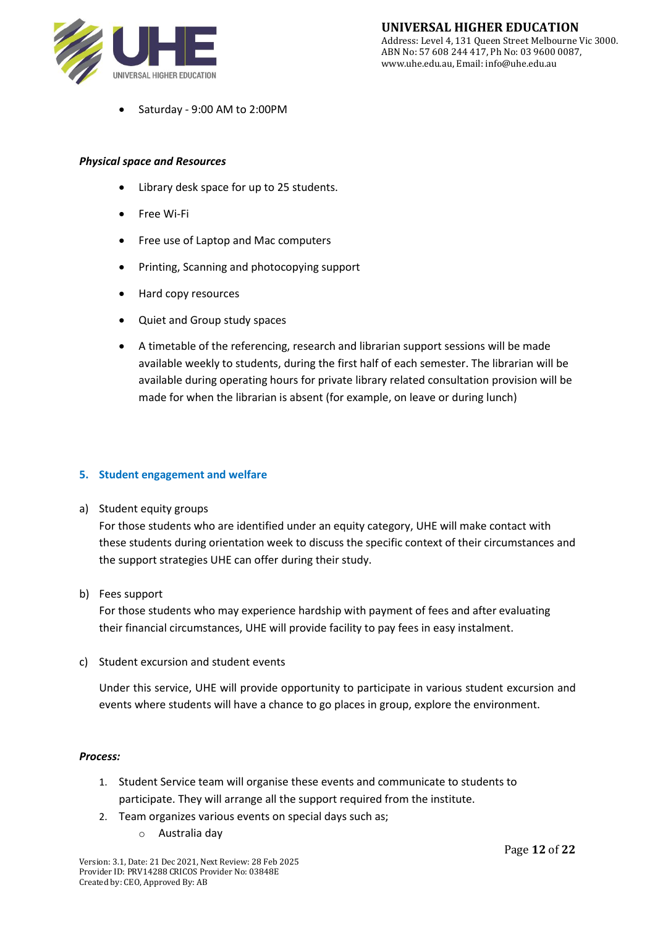

• Saturday - 9:00 AM to 2:00PM

#### *Physical space and Resources*

- Library desk space for up to 25 students.
- Free Wi-Fi
- Free use of Laptop and Mac computers
- Printing, Scanning and photocopying support
- Hard copy resources
- Quiet and Group study spaces
- A timetable of the referencing, research and librarian support sessions will be made available weekly to students, during the first half of each semester. The librarian will be available during operating hours for private library related consultation provision will be made for when the librarian is absent (for example, on leave or during lunch)

#### **5. Student engagement and welfare**

a) Student equity groups

For those students who are identified under an equity category, UHE will make contact with these students during orientation week to discuss the specific context of their circumstances and the support strategies UHE can offer during their study.

b) Fees support

For those students who may experience hardship with payment of fees and after evaluating their financial circumstances, UHE will provide facility to pay fees in easy instalment.

c) Student excursion and student events

Under this service, UHE will provide opportunity to participate in various student excursion and events where students will have a chance to go places in group, explore the environment.

#### *Process:*

- 1. Student Service team will organise these events and communicate to students to participate. They will arrange all the support required from the institute.
- 2. Team organizes various events on special days such as;
	- o Australia day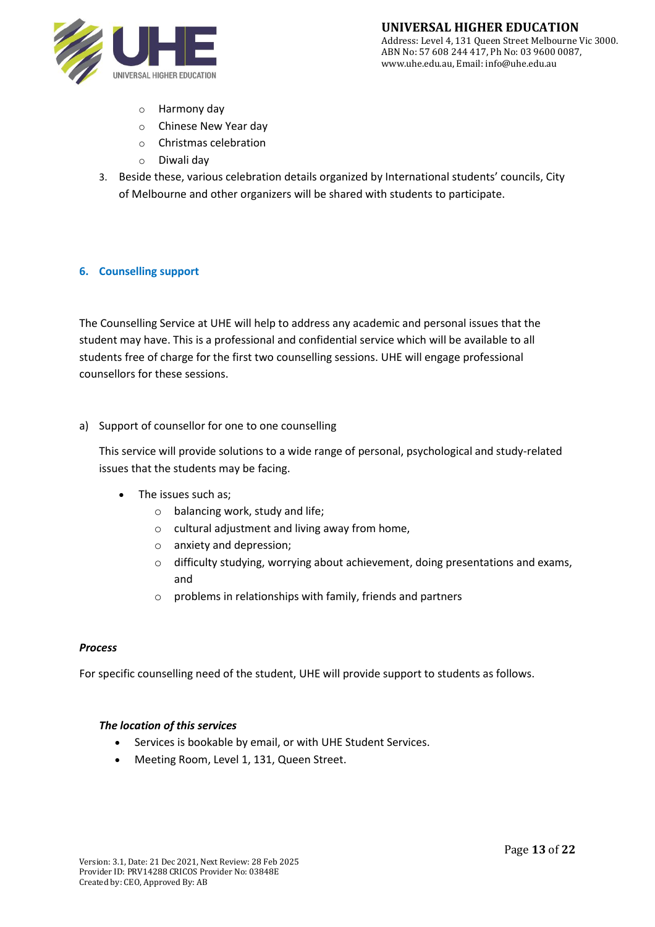

- o Harmony day
- o Chinese New Year day
- o Christmas celebration
- o Diwali day
- 3. Beside these, various celebration details organized by International students' councils, City of Melbourne and other organizers will be shared with students to participate.

#### **6. Counselling support**

The Counselling Service at UHE will help to address any academic and personal issues that the student may have. This is a professional and confidential service which will be available to all students free of charge for the first two counselling sessions. UHE will engage professional counsellors for these sessions.

a) Support of counsellor for one to one counselling

This service will provide solutions to a wide range of personal, psychological and study-related issues that the students may be facing.

- The issues such as;
	- o balancing work, study and life;
	- o cultural adjustment and living away from home,
	- o anxiety and depression;
	- o difficulty studying, worrying about achievement, doing presentations and exams, and
	- o problems in relationships with family, friends and partners

#### *Process*

For specific counselling need of the student, UHE will provide support to students as follows.

#### *The location of this services*

- Services is bookable by email, or with UHE Student Services.
- Meeting Room, Level 1, 131, Queen Street.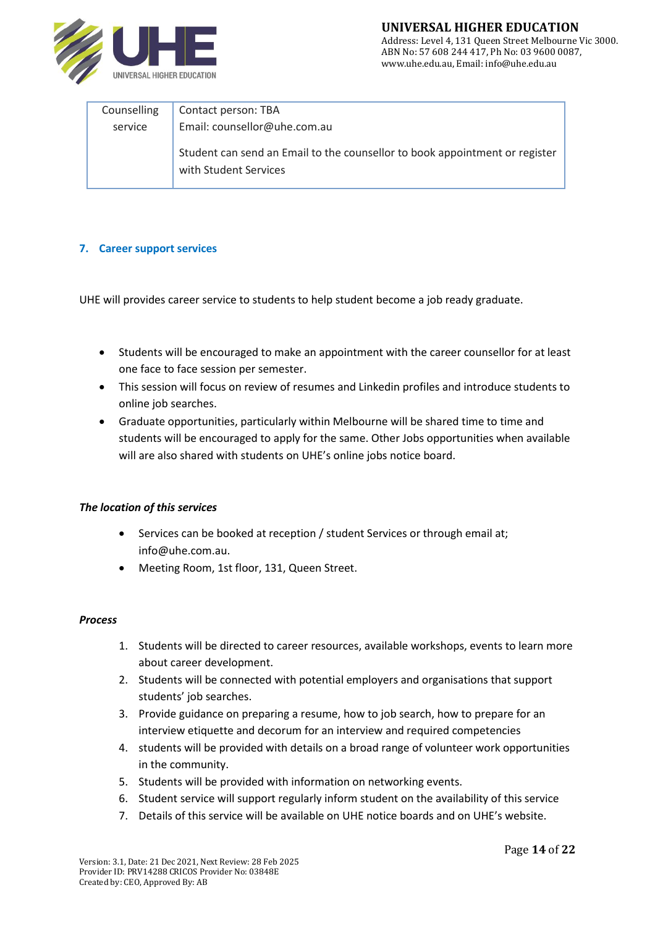

#### **UNIVERSAL HIGHER EDUCATION** Address: Level 4, 131 Queen Street Melbourne Vic 3000. ABN No: 57 608 244 417, Ph No: 03 9600 0087, www.uhe.edu.au, Email: info@uhe.edu.au

| Counselling | Contact person: TBA                                                                                  |
|-------------|------------------------------------------------------------------------------------------------------|
| service     | Email: counsellor@uhe.com.au                                                                         |
|             | Student can send an Email to the counsellor to book appointment or register<br>with Student Services |

#### **7. Career support services**

UHE will provides career service to students to help student become a job ready graduate.

- Students will be encouraged to make an appointment with the career counsellor for at least one face to face session per semester.
- This session will focus on review of resumes and Linkedin profiles and introduce students to online job searches.
- Graduate opportunities, particularly within Melbourne will be shared time to time and students will be encouraged to apply for the same. Other Jobs opportunities when available will are also shared with students on UHE's online jobs notice board.

#### *The location of this services*

- Services can be booked at reception / student Services or through email at; info@uhe.com.au.
- Meeting Room, 1st floor, 131, Queen Street.

#### *Process*

- 1. Students will be directed to career resources, available workshops, events to learn more about career development.
- 2. Students will be connected with potential employers and organisations that support students' job searches.
- 3. Provide guidance on preparing a resume, how to job search, how to prepare for an interview etiquette and decorum for an interview and required competencies
- 4. students will be provided with details on a broad range of volunteer work opportunities in the community.
- 5. Students will be provided with information on networking events.
- 6. Student service will support regularly inform student on the availability of this service
- 7. Details of this service will be available on UHE notice boards and on UHE's website.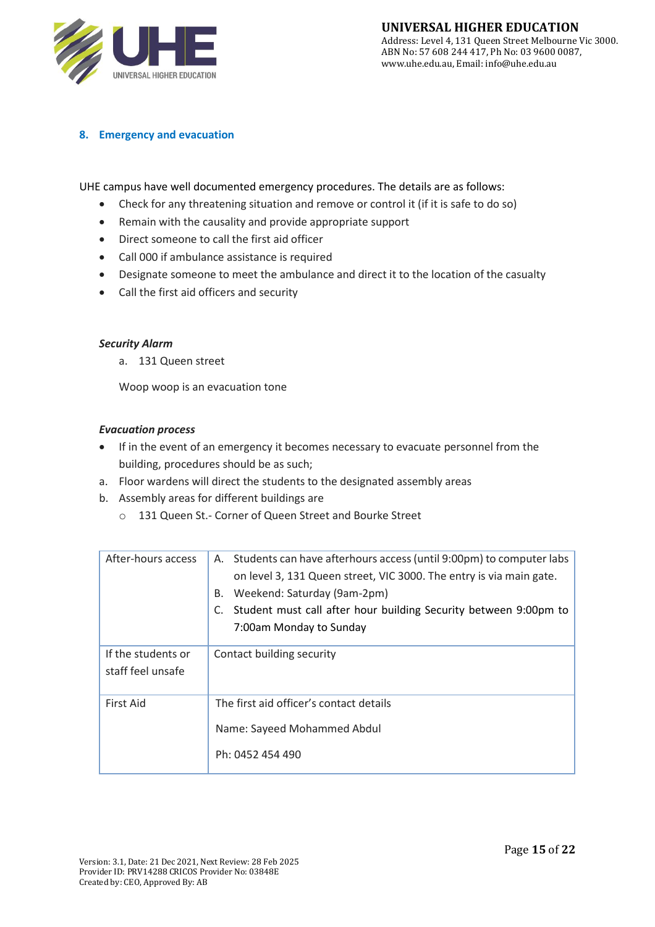

#### **8. Emergency and evacuation**

UHE campus have well documented emergency procedures. The details are as follows:

- Check for any threatening situation and remove or control it (if it is safe to do so)
- Remain with the causality and provide appropriate support
- Direct someone to call the first aid officer
- Call 000 if ambulance assistance is required
- Designate someone to meet the ambulance and direct it to the location of the casualty
- Call the first aid officers and security

#### *Security Alarm*

a. 131 Queen street

Woop woop is an evacuation tone

#### *Evacuation process*

- If in the event of an emergency it becomes necessary to evacuate personnel from the building, procedures should be as such;
- a. Floor wardens will direct the students to the designated assembly areas
- b. Assembly areas for different buildings are
	- o 131 Queen St.- Corner of Queen Street and Bourke Street

| After-hours access                      | Students can have afterhours access (until 9:00pm) to computer labs<br>А.<br>on level 3, 131 Queen street, VIC 3000. The entry is via main gate.<br>Weekend: Saturday (9am-2pm)<br>В.<br>Student must call after hour building Security between 9:00pm to<br>C.<br>7:00am Monday to Sunday |
|-----------------------------------------|--------------------------------------------------------------------------------------------------------------------------------------------------------------------------------------------------------------------------------------------------------------------------------------------|
| If the students or<br>staff feel unsafe | Contact building security                                                                                                                                                                                                                                                                  |
| <b>First Aid</b>                        | The first aid officer's contact details<br>Name: Sayeed Mohammed Abdul<br>Ph: 0452 454 490                                                                                                                                                                                                 |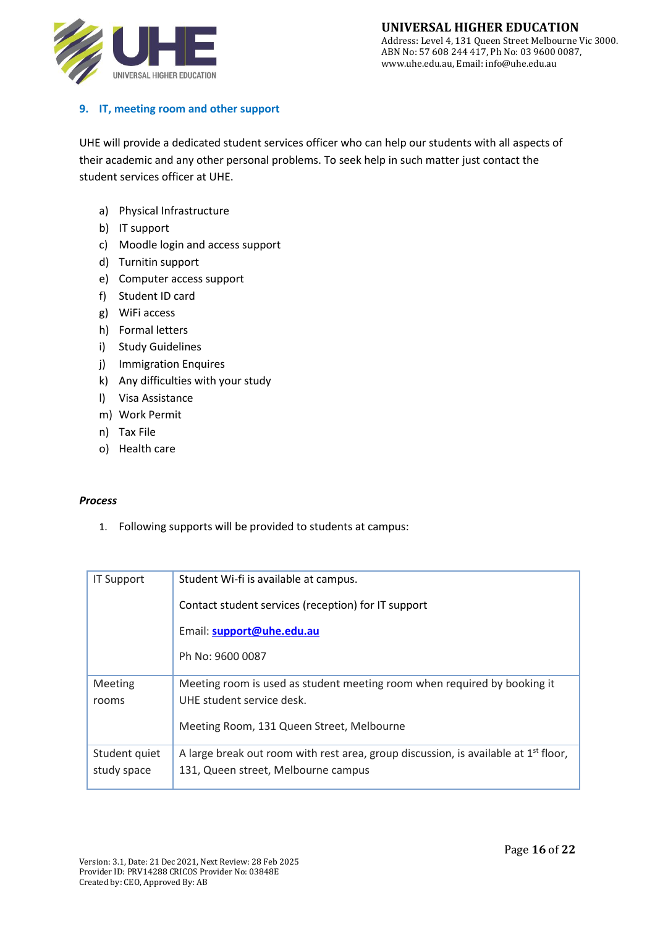

## **9. IT, meeting room and other support**

UHE will provide a dedicated student services officer who can help our students with all aspects of their academic and any other personal problems. To seek help in such matter just contact the student services officer at UHE.

- a) Physical Infrastructure
- b) IT support
- c) Moodle login and access support
- d) Turnitin support
- e) Computer access support
- f) Student ID card
- g) WiFi access
- h) Formal letters
- i) Study Guidelines
- j) Immigration Enquires
- k) Any difficulties with your study
- l) Visa Assistance
- m) Work Permit
- n) Tax File
- o) Health care

#### *Process*

1. Following supports will be provided to students at campus:

| <b>IT Support</b> | Student Wi-fi is available at campus.                                                           |
|-------------------|-------------------------------------------------------------------------------------------------|
|                   | Contact student services (reception) for IT support                                             |
|                   | Email: support@uhe.edu.au                                                                       |
|                   | Ph No: 9600 0087                                                                                |
| Meeting           | Meeting room is used as student meeting room when required by booking it                        |
| rooms             | UHE student service desk.                                                                       |
|                   | Meeting Room, 131 Queen Street, Melbourne                                                       |
| Student quiet     | A large break out room with rest area, group discussion, is available at 1 <sup>st</sup> floor, |
| study space       | 131, Queen street, Melbourne campus                                                             |
|                   |                                                                                                 |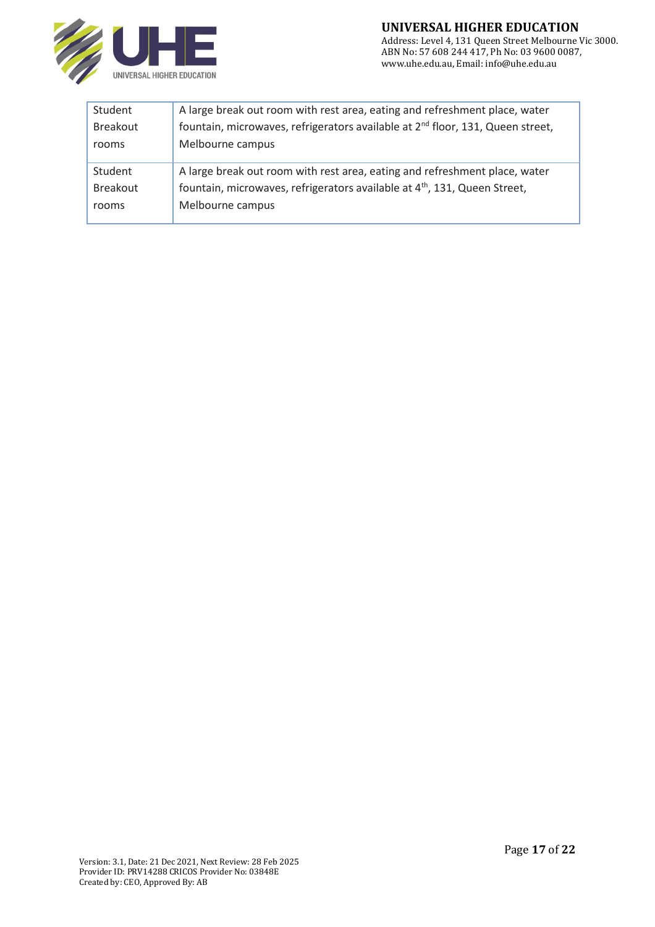

| Student         | A large break out room with rest area, eating and refreshment place, water                 |
|-----------------|--------------------------------------------------------------------------------------------|
| <b>Breakout</b> | fountain, microwaves, refrigerators available at 2 <sup>nd</sup> floor, 131, Queen street, |
| rooms           | Melbourne campus                                                                           |
| Student         | A large break out room with rest area, eating and refreshment place, water                 |
| <b>Breakout</b> | fountain, microwaves, refrigerators available at 4 <sup>th</sup> , 131, Queen Street,      |
| rooms           | Melbourne campus                                                                           |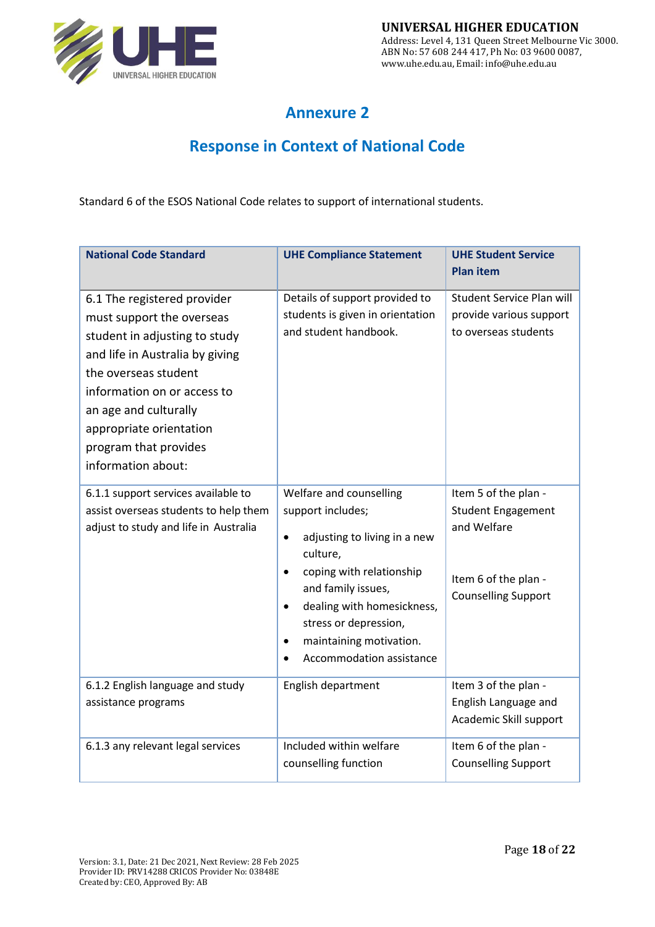

# **Annexure 2**

# **Response in Context of National Code**

Standard 6 of the ESOS National Code relates to support of international students.

| <b>National Code Standard</b>                                                                                                                                                                                                                                                          | <b>UHE Compliance Statement</b>                                                                                                                                                                                                                                                                 | <b>UHE Student Service</b>                                                                                             |
|----------------------------------------------------------------------------------------------------------------------------------------------------------------------------------------------------------------------------------------------------------------------------------------|-------------------------------------------------------------------------------------------------------------------------------------------------------------------------------------------------------------------------------------------------------------------------------------------------|------------------------------------------------------------------------------------------------------------------------|
|                                                                                                                                                                                                                                                                                        |                                                                                                                                                                                                                                                                                                 | <b>Plan item</b>                                                                                                       |
| 6.1 The registered provider<br>must support the overseas<br>student in adjusting to study<br>and life in Australia by giving<br>the overseas student<br>information on or access to<br>an age and culturally<br>appropriate orientation<br>program that provides<br>information about: | Details of support provided to<br>students is given in orientation<br>and student handbook.                                                                                                                                                                                                     | <b>Student Service Plan will</b><br>provide various support<br>to overseas students                                    |
| 6.1.1 support services available to<br>assist overseas students to help them<br>adjust to study and life in Australia                                                                                                                                                                  | Welfare and counselling<br>support includes;<br>adjusting to living in a new<br>$\bullet$<br>culture,<br>coping with relationship<br>and family issues,<br>dealing with homesickness,<br>$\bullet$<br>stress or depression,<br>maintaining motivation.<br>$\bullet$<br>Accommodation assistance | Item 5 of the plan -<br><b>Student Engagement</b><br>and Welfare<br>Item 6 of the plan -<br><b>Counselling Support</b> |
| 6.1.2 English language and study<br>assistance programs                                                                                                                                                                                                                                | English department                                                                                                                                                                                                                                                                              | Item 3 of the plan -<br>English Language and<br>Academic Skill support                                                 |
| 6.1.3 any relevant legal services                                                                                                                                                                                                                                                      | Included within welfare<br>counselling function                                                                                                                                                                                                                                                 | Item 6 of the plan -<br><b>Counselling Support</b>                                                                     |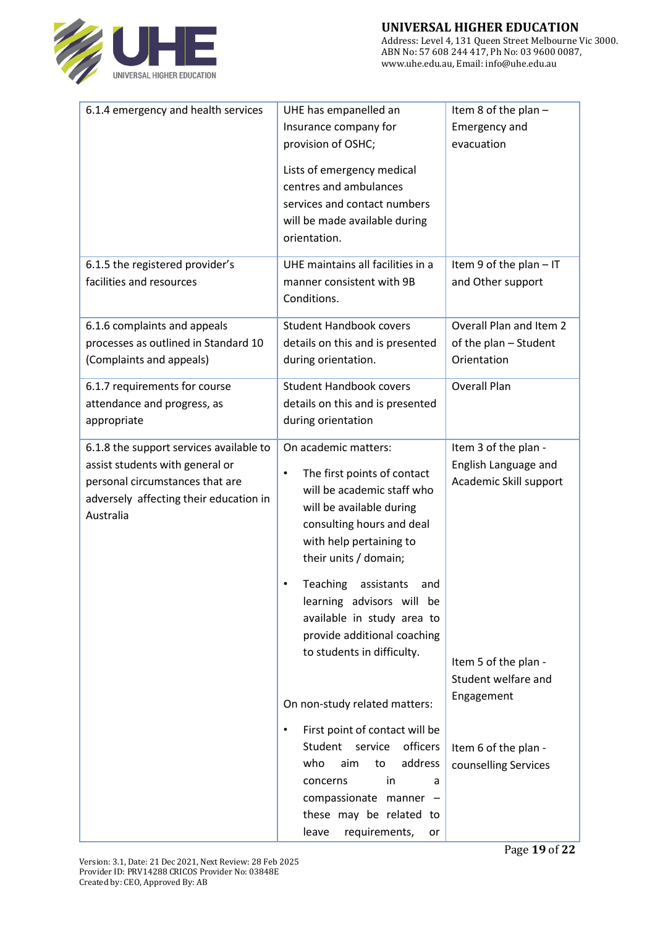

| 6.1.4 emergency and health services                                                                                                                                  | UHE has empanelled an                                                                                                                                                                                                                                                                                                                                                                                 | Item 8 of the plan $-$                                                                                                              |
|----------------------------------------------------------------------------------------------------------------------------------------------------------------------|-------------------------------------------------------------------------------------------------------------------------------------------------------------------------------------------------------------------------------------------------------------------------------------------------------------------------------------------------------------------------------------------------------|-------------------------------------------------------------------------------------------------------------------------------------|
|                                                                                                                                                                      | Insurance company for                                                                                                                                                                                                                                                                                                                                                                                 | <b>Emergency and</b>                                                                                                                |
|                                                                                                                                                                      | provision of OSHC;                                                                                                                                                                                                                                                                                                                                                                                    | evacuation                                                                                                                          |
|                                                                                                                                                                      | Lists of emergency medical                                                                                                                                                                                                                                                                                                                                                                            |                                                                                                                                     |
|                                                                                                                                                                      | centres and ambulances                                                                                                                                                                                                                                                                                                                                                                                |                                                                                                                                     |
|                                                                                                                                                                      | services and contact numbers                                                                                                                                                                                                                                                                                                                                                                          |                                                                                                                                     |
|                                                                                                                                                                      | will be made available during                                                                                                                                                                                                                                                                                                                                                                         |                                                                                                                                     |
|                                                                                                                                                                      | orientation.                                                                                                                                                                                                                                                                                                                                                                                          |                                                                                                                                     |
| 6.1.5 the registered provider's                                                                                                                                      | UHE maintains all facilities in a                                                                                                                                                                                                                                                                                                                                                                     | Item 9 of the plan - IT                                                                                                             |
| facilities and resources                                                                                                                                             | manner consistent with 9B                                                                                                                                                                                                                                                                                                                                                                             | and Other support                                                                                                                   |
|                                                                                                                                                                      | Conditions.                                                                                                                                                                                                                                                                                                                                                                                           |                                                                                                                                     |
| 6.1.6 complaints and appeals                                                                                                                                         | <b>Student Handbook covers</b>                                                                                                                                                                                                                                                                                                                                                                        | Overall Plan and Item 2                                                                                                             |
| processes as outlined in Standard 10                                                                                                                                 | details on this and is presented                                                                                                                                                                                                                                                                                                                                                                      | of the plan - Student                                                                                                               |
| (Complaints and appeals)                                                                                                                                             | during orientation.                                                                                                                                                                                                                                                                                                                                                                                   | Orientation                                                                                                                         |
| 6.1.7 requirements for course                                                                                                                                        | <b>Student Handbook covers</b>                                                                                                                                                                                                                                                                                                                                                                        | <b>Overall Plan</b>                                                                                                                 |
| attendance and progress, as                                                                                                                                          | details on this and is presented                                                                                                                                                                                                                                                                                                                                                                      |                                                                                                                                     |
| appropriate                                                                                                                                                          | during orientation                                                                                                                                                                                                                                                                                                                                                                                    |                                                                                                                                     |
| 6.1.8 the support services available to<br>assist students with general or<br>personal circumstances that are<br>adversely affecting their education in<br>Australia | On academic matters:<br>The first points of contact<br>$\bullet$<br>will be academic staff who<br>will be available during<br>consulting hours and deal<br>with help pertaining to<br>their units / domain;<br>Teaching<br>assistants<br>and<br>learning advisors will be<br>available in study area to<br>provide additional coaching<br>to students in difficulty.<br>On non-study related matters: | Item 3 of the plan -<br>English Language and<br>Academic Skill support<br>Item 5 of the plan -<br>Student welfare and<br>Engagement |
|                                                                                                                                                                      | First point of contact will be<br>$\bullet$<br>Student service<br>officers<br>address<br>who<br>aim<br>to<br>in<br>concerns<br>a<br>compassionate manner -<br>these may be related to<br>leave<br>requirements,<br>or                                                                                                                                                                                 | Item 6 of the plan -<br>counselling Services                                                                                        |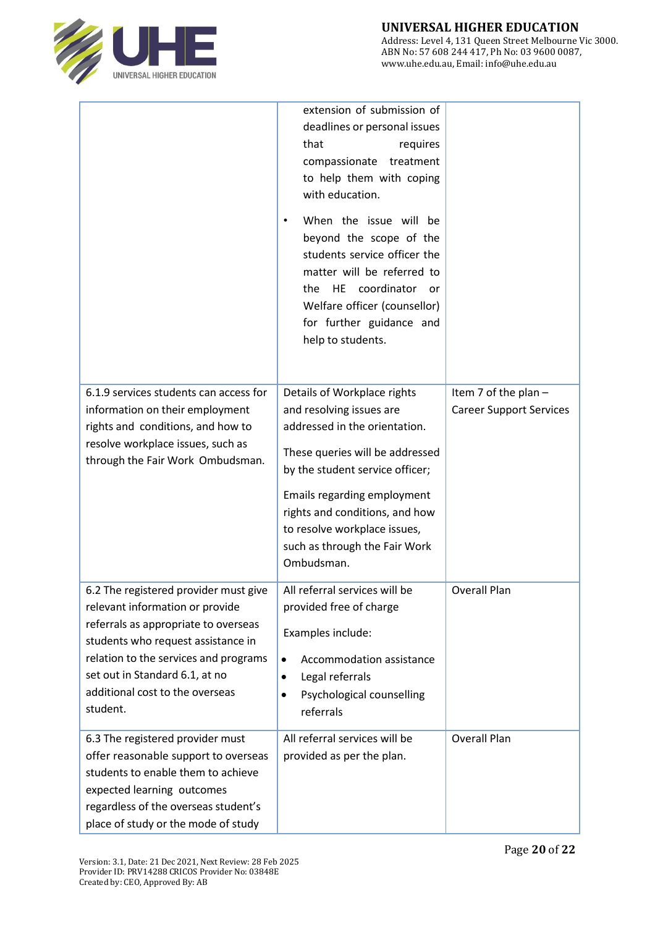

|                                                                                                                                                                                                                                                                                  | extension of submission of<br>deadlines or personal issues<br>that<br>requires<br>compassionate treatment<br>to help them with coping<br>with education.<br>When the issue will be<br>beyond the scope of the<br>students service officer the<br>matter will be referred to<br>coordinator<br>HE<br>the<br><b>or</b><br>Welfare officer (counsellor)<br>for further guidance and<br>help to students. |                                                        |
|----------------------------------------------------------------------------------------------------------------------------------------------------------------------------------------------------------------------------------------------------------------------------------|-------------------------------------------------------------------------------------------------------------------------------------------------------------------------------------------------------------------------------------------------------------------------------------------------------------------------------------------------------------------------------------------------------|--------------------------------------------------------|
| 6.1.9 services students can access for<br>information on their employment<br>rights and conditions, and how to<br>resolve workplace issues, such as<br>through the Fair Work Ombudsman.                                                                                          | Details of Workplace rights<br>and resolving issues are<br>addressed in the orientation.<br>These queries will be addressed<br>by the student service officer;<br>Emails regarding employment<br>rights and conditions, and how<br>to resolve workplace issues,<br>such as through the Fair Work<br>Ombudsman.                                                                                        | Item 7 of the plan -<br><b>Career Support Services</b> |
| 6.2 The registered provider must give<br>relevant information or provide<br>referrals as appropriate to overseas<br>students who request assistance in<br>relation to the services and programs<br>set out in Standard 6.1, at no<br>additional cost to the overseas<br>student. | All referral services will be<br>provided free of charge<br>Examples include:<br>Accommodation assistance<br>$\bullet$<br>Legal referrals<br>$\bullet$<br>Psychological counselling<br>$\bullet$<br>referrals                                                                                                                                                                                         | Overall Plan                                           |
| 6.3 The registered provider must<br>offer reasonable support to overseas<br>students to enable them to achieve<br>expected learning outcomes<br>regardless of the overseas student's<br>place of study or the mode of study                                                      | All referral services will be<br>provided as per the plan.                                                                                                                                                                                                                                                                                                                                            | Overall Plan                                           |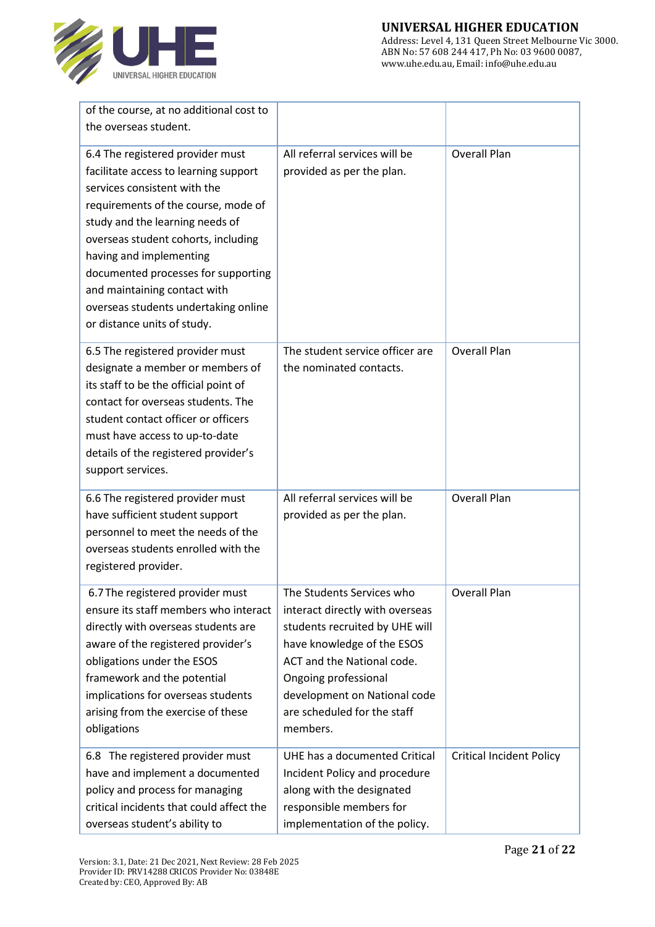

| of the course, at no additional cost to<br>the overseas student.                                                                                                                                                                                                                                                                                                                                    |                                                                                                                                                                                                                                                               |                                 |
|-----------------------------------------------------------------------------------------------------------------------------------------------------------------------------------------------------------------------------------------------------------------------------------------------------------------------------------------------------------------------------------------------------|---------------------------------------------------------------------------------------------------------------------------------------------------------------------------------------------------------------------------------------------------------------|---------------------------------|
| 6.4 The registered provider must<br>facilitate access to learning support<br>services consistent with the<br>requirements of the course, mode of<br>study and the learning needs of<br>overseas student cohorts, including<br>having and implementing<br>documented processes for supporting<br>and maintaining contact with<br>overseas students undertaking online<br>or distance units of study. | All referral services will be<br>provided as per the plan.                                                                                                                                                                                                    | <b>Overall Plan</b>             |
| 6.5 The registered provider must<br>designate a member or members of<br>its staff to be the official point of<br>contact for overseas students. The<br>student contact officer or officers<br>must have access to up-to-date<br>details of the registered provider's<br>support services.                                                                                                           | The student service officer are<br>the nominated contacts.                                                                                                                                                                                                    | <b>Overall Plan</b>             |
| 6.6 The registered provider must<br>have sufficient student support<br>personnel to meet the needs of the<br>overseas students enrolled with the<br>registered provider.                                                                                                                                                                                                                            | All referral services will be<br>provided as per the plan.                                                                                                                                                                                                    | <b>Overall Plan</b>             |
| 6.7 The registered provider must<br>ensure its staff members who interact<br>directly with overseas students are<br>aware of the registered provider's<br>obligations under the ESOS<br>framework and the potential<br>implications for overseas students<br>arising from the exercise of these<br>obligations                                                                                      | The Students Services who<br>interact directly with overseas<br>students recruited by UHE will<br>have knowledge of the ESOS<br>ACT and the National code.<br>Ongoing professional<br>development on National code<br>are scheduled for the staff<br>members. | <b>Overall Plan</b>             |
| 6.8 The registered provider must<br>have and implement a documented<br>policy and process for managing<br>critical incidents that could affect the<br>overseas student's ability to                                                                                                                                                                                                                 | UHE has a documented Critical<br>Incident Policy and procedure<br>along with the designated<br>responsible members for<br>implementation of the policy.                                                                                                       | <b>Critical Incident Policy</b> |